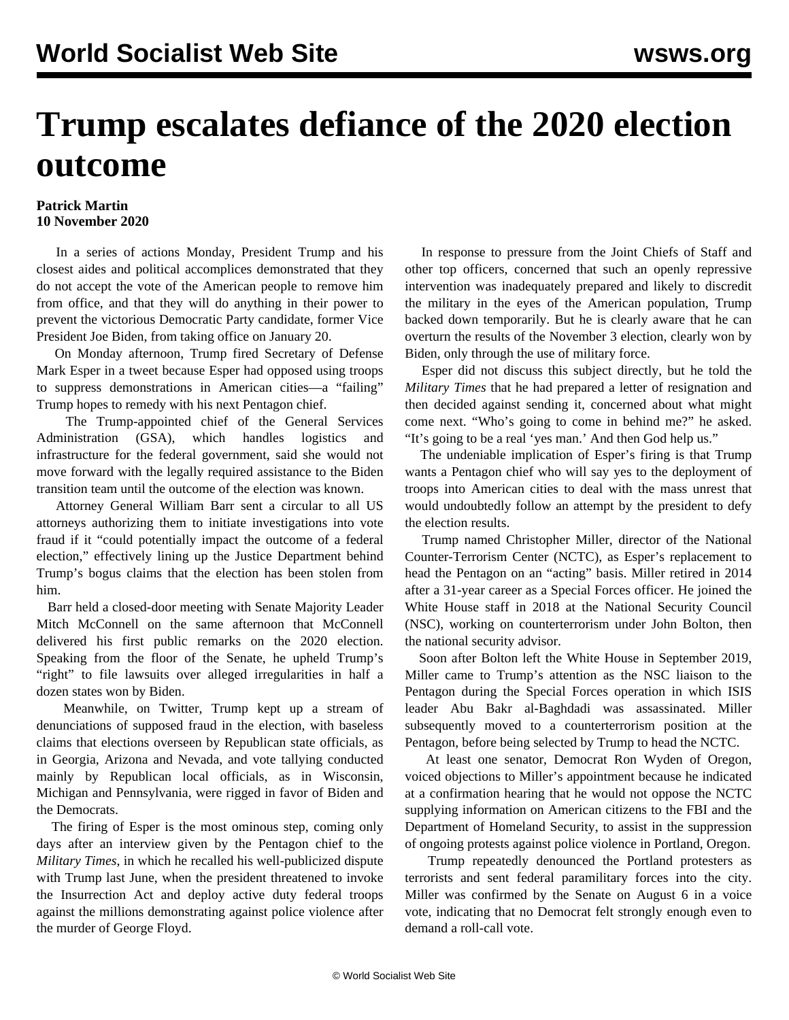## **Trump escalates defiance of the 2020 election outcome**

## **Patrick Martin 10 November 2020**

 In a series of actions Monday, President Trump and his closest aides and political accomplices demonstrated that they do not accept the vote of the American people to remove him from office, and that they will do anything in their power to prevent the victorious Democratic Party candidate, former Vice President Joe Biden, from taking office on January 20.

 On Monday afternoon, Trump fired Secretary of Defense Mark Esper in a tweet because Esper had opposed using troops to suppress demonstrations in American cities—a "failing" Trump hopes to remedy with his next Pentagon chief.

 The Trump-appointed chief of the General Services Administration (GSA), which handles logistics and infrastructure for the federal government, said she would not move forward with the legally required assistance to the Biden transition team until the outcome of the election was known.

 Attorney General William Barr sent a circular to all US attorneys authorizing them to initiate investigations into vote fraud if it "could potentially impact the outcome of a federal election," effectively lining up the Justice Department behind Trump's bogus claims that the election has been stolen from him.

 Barr held a closed-door meeting with Senate Majority Leader Mitch McConnell on the same afternoon that McConnell delivered his first public remarks on the 2020 election. Speaking from the floor of the Senate, he upheld Trump's "right" to file lawsuits over alleged irregularities in half a dozen states won by Biden.

 Meanwhile, on Twitter, Trump kept up a stream of denunciations of supposed fraud in the election, with baseless claims that elections overseen by Republican state officials, as in Georgia, Arizona and Nevada, and vote tallying conducted mainly by Republican local officials, as in Wisconsin, Michigan and Pennsylvania, were rigged in favor of Biden and the Democrats.

 The firing of Esper is the most ominous step, coming only days after an interview given by the Pentagon chief to the *Military Times*, in which he recalled his well-publicized dispute with Trump last June, when the president threatened to invoke the Insurrection Act and deploy active duty federal troops against the millions demonstrating against police violence after the murder of George Floyd.

 In response to pressure from the Joint Chiefs of Staff and other top officers, concerned that such an openly repressive intervention was inadequately prepared and likely to discredit the military in the eyes of the American population, Trump backed down temporarily. But he is clearly aware that he can overturn the results of the November 3 election, clearly won by Biden, only through the use of military force.

 Esper did not discuss this subject directly, but he told the *Military Times* that he had prepared a letter of resignation and then decided against sending it, concerned about what might come next. "Who's going to come in behind me?" he asked. "It's going to be a real 'yes man.' And then God help us."

 The undeniable implication of Esper's firing is that Trump wants a Pentagon chief who will say yes to the deployment of troops into American cities to deal with the mass unrest that would undoubtedly follow an attempt by the president to defy the election results.

 Trump named Christopher Miller, director of the National Counter-Terrorism Center (NCTC), as Esper's replacement to head the Pentagon on an "acting" basis. Miller retired in 2014 after a 31-year career as a Special Forces officer. He joined the White House staff in 2018 at the National Security Council (NSC), working on counterterrorism under John Bolton, then the national security advisor.

 Soon after Bolton left the White House in September 2019, Miller came to Trump's attention as the NSC liaison to the Pentagon during the Special Forces operation in which ISIS leader Abu Bakr al-Baghdadi was assassinated. Miller subsequently moved to a counterterrorism position at the Pentagon, before being selected by Trump to head the NCTC.

 At least one senator, Democrat Ron Wyden of Oregon, voiced objections to Miller's appointment because he indicated at a confirmation hearing that he would not oppose the NCTC supplying information on American citizens to the FBI and the Department of Homeland Security, to assist in the suppression of ongoing protests against police violence in Portland, Oregon.

 Trump repeatedly denounced the Portland protesters as terrorists and sent federal paramilitary forces into the city. Miller was confirmed by the Senate on August 6 in a voice vote, indicating that no Democrat felt strongly enough even to demand a roll-call vote.